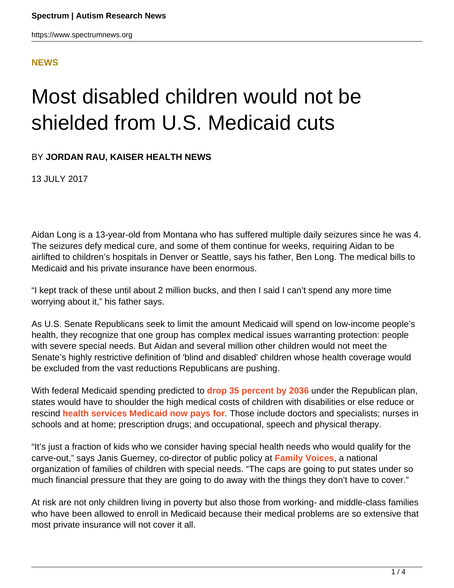#### **[NEWS](HTTPS://WWW.SPECTRUMNEWS.ORG/NEWS/)**

# Most disabled children would not be shielded from U.S. Medicaid cuts

BY **JORDAN RAU, KAISER HEALTH NEWS**

13 JULY 2017

Aidan Long is a 13-year-old from Montana who has suffered multiple daily seizures since he was 4. The seizures defy medical cure, and some of them continue for weeks, requiring Aidan to be airlifted to children's hospitals in Denver or Seattle, says his father, Ben Long. The medical bills to Medicaid and his private insurance have been enormous.

"I kept track of these until about 2 million bucks, and then I said I can't spend any more time worrying about it," his father says.

As U.S. Senate Republicans seek to limit the amount Medicaid will spend on low-income people's health, they recognize that one group has complex medical issues warranting protection: people with severe special needs. But Aidan and several million other children would not meet the Senate's highly restrictive definition of 'blind and disabled' children whose health coverage would be excluded from the vast reductions Republicans are pushing.

With federal Medicaid spending predicted to **[drop 35 percent by 2036](https://www.cbo.gov/publication/52859)** under the Republican plan, states would have to shoulder the high medical costs of children with disabilities or else reduce or rescind **[health services Medicaid now pays for](http://cahpp.org/resources/fact-sheet-medicaid-and-children-with-special-health-care-needsdisabilities-an-overview/)**. Those include doctors and specialists; nurses in schools and at home; prescription drugs; and occupational, speech and physical therapy.

"It's just a fraction of kids who we consider having special health needs who would qualify for the carve-out," says Janis Guerney, co-director of public policy at **[Family Voices](http://www.familyvoices.org/)**, a national organization of families of children with special needs. "The caps are going to put states under so much financial pressure that they are going to do away with the things they don't have to cover."

At risk are not only children living in poverty but also those from working- and middle-class families who have been allowed to enroll in Medicaid because their medical problems are so extensive that most private insurance will not cover it all.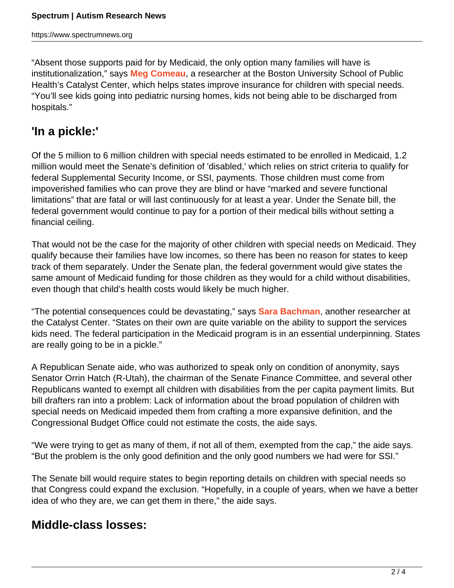"Absent those supports paid for by Medicaid, the only option many families will have is institutionalization," says **[Meg Comeau](http://cahpp.org/team-members/meg-comeau/)**, a researcher at the Boston University School of Public Health's Catalyst Center, which helps states improve insurance for children with special needs. "You'll see kids going into pediatric nursing homes, kids not being able to be discharged from hospitals."

### **'In a pickle:'**

Of the 5 million to 6 million children with special needs estimated to be enrolled in Medicaid, 1.2 million would meet the Senate's definition of 'disabled,' which relies on strict criteria to qualify for federal Supplemental Security Income, or SSI, payments. Those children must come from impoverished families who can prove they are blind or have "marked and severe functional limitations" that are fatal or will last continuously for at least a year. Under the Senate bill, the federal government would continue to pay for a portion of their medical bills without setting a financial ceiling.

That would not be the case for the majority of other children with special needs on Medicaid. They qualify because their families have low incomes, so there has been no reason for states to keep track of them separately. Under the Senate plan, the federal government would give states the same amount of Medicaid funding for those children as they would for a child without disabilities, even though that child's health costs would likely be much higher.

"The potential consequences could be devastating," says **[Sara Bachman](http://cahpp.org/team-members/sara-bachman/)**, another researcher at the Catalyst Center. "States on their own are quite variable on the ability to support the services kids need. The federal participation in the Medicaid program is in an essential underpinning. States are really going to be in a pickle."

A Republican Senate aide, who was authorized to speak only on condition of anonymity, says Senator Orrin Hatch (R-Utah), the chairman of the Senate Finance Committee, and several other Republicans wanted to exempt all children with disabilities from the per capita payment limits. But bill drafters ran into a problem: Lack of information about the broad population of children with special needs on Medicaid impeded them from crafting a more expansive definition, and the Congressional Budget Office could not estimate the costs, the aide says.

"We were trying to get as many of them, if not all of them, exempted from the cap," the aide says. "But the problem is the only good definition and the only good numbers we had were for SSI."

The Senate bill would require states to begin reporting details on children with special needs so that Congress could expand the exclusion. "Hopefully, in a couple of years, when we have a better idea of who they are, we can get them in there," the aide says.

#### **Middle-class losses:**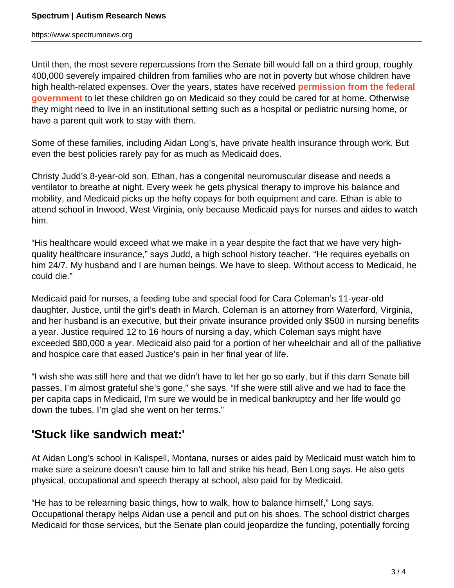https://www.spectrumnews.org

Until then, the most severe repercussions from the Senate bill would fall on a third group, roughly 400,000 severely impaired children from families who are not in poverty but whose children have high health-related expenses. Over the years, states have received **[permission from the federal](http://cahpp.org/wp-content/uploads/2016/02/TEFRA-policy-brief.pdf) [government](http://cahpp.org/wp-content/uploads/2016/02/TEFRA-policy-brief.pdf)** to let these children go on Medicaid so they could be cared for at home. Otherwise they might need to live in an institutional setting such as a hospital or pediatric nursing home, or have a parent quit work to stay with them.

Some of these families, including Aidan Long's, have private health insurance through work. But even the best policies rarely pay for as much as Medicaid does.

Christy Judd's 8-year-old son, Ethan, has a congenital neuromuscular disease and needs a ventilator to breathe at night. Every week he gets physical therapy to improve his balance and mobility, and Medicaid picks up the hefty copays for both equipment and care. Ethan is able to attend school in Inwood, West Virginia, only because Medicaid pays for nurses and aides to watch him.

"His healthcare would exceed what we make in a year despite the fact that we have very highquality healthcare insurance," says Judd, a high school history teacher. "He requires eyeballs on him 24/7. My husband and I are human beings. We have to sleep. Without access to Medicaid, he could die."

Medicaid paid for nurses, a feeding tube and special food for Cara Coleman's 11-year-old daughter, Justice, until the girl's death in March. Coleman is an attorney from Waterford, Virginia, and her husband is an executive, but their private insurance provided only \$500 in nursing benefits a year. Justice required 12 to 16 hours of nursing a day, which Coleman says might have exceeded \$80,000 a year. Medicaid also paid for a portion of her wheelchair and all of the palliative and hospice care that eased Justice's pain in her final year of life.

"I wish she was still here and that we didn't have to let her go so early, but if this darn Senate bill passes, I'm almost grateful she's gone," she says. "If she were still alive and we had to face the per capita caps in Medicaid, I'm sure we would be in medical bankruptcy and her life would go down the tubes. I'm glad she went on her terms."

## **'Stuck like sandwich meat:'**

At Aidan Long's school in Kalispell, Montana, nurses or aides paid by Medicaid must watch him to make sure a seizure doesn't cause him to fall and strike his head, Ben Long says. He also gets physical, occupational and speech therapy at school, also paid for by Medicaid.

"He has to be relearning basic things, how to walk, how to balance himself," Long says. Occupational therapy helps Aidan use a pencil and put on his shoes. The school district charges Medicaid for those services, but the Senate plan could jeopardize the funding, potentially forcing